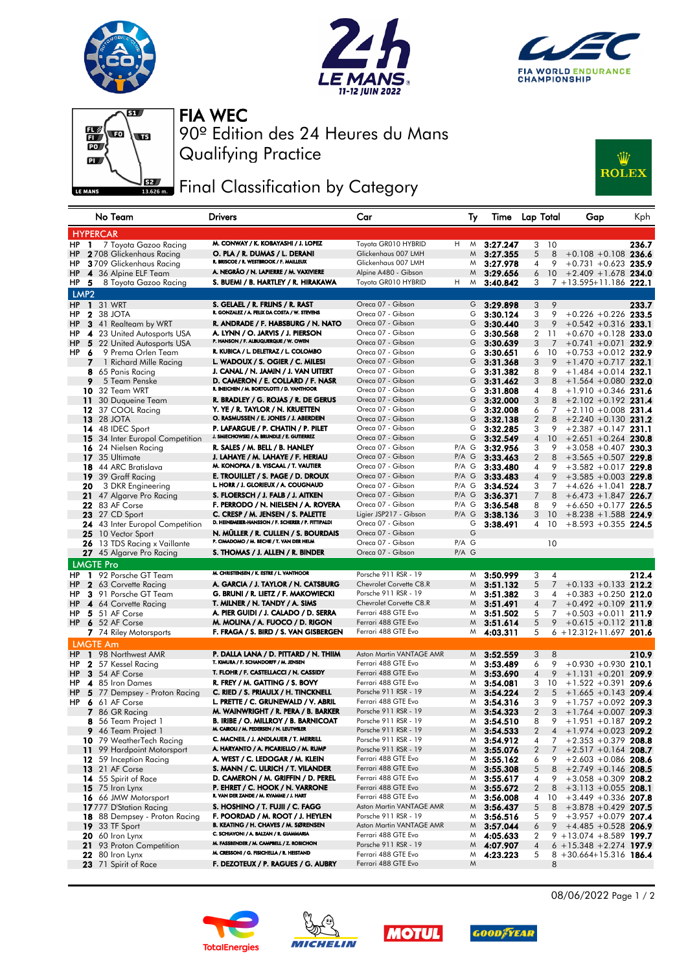







Qualifying Practice 90º Edition des 24 Heures du Mans FIA WEC

## **Fig. 4** Final Classification by Category



|                  | No Team                                                | <b>Drivers</b>                                                                          | Car                                              | Ту                 | Time                 | Lap Total                     | Gap                                             | Kph   |
|------------------|--------------------------------------------------------|-----------------------------------------------------------------------------------------|--------------------------------------------------|--------------------|----------------------|-------------------------------|-------------------------------------------------|-------|
|                  | <b>HYPERCAR</b>                                        |                                                                                         |                                                  |                    |                      |                               |                                                 |       |
| HP               | 7 Toyota Gazoo Racing<br>$\mathbf{1}$                  | M. CONWAY / K. KOBAYASHI / J. LOPEZ                                                     | Toyota GR010 HYBRID                              | н<br>M             | 3:27.247             | 3<br>10                       |                                                 | 236.7 |
| HP               | <b>2</b> 708 Glickenhaus Racing                        | O. PLA / R. DUMAS / L. DERANI                                                           | Glickenhaus 007 LMH                              | M                  | 3:27.355             | 5<br>8                        | $+0.108 + 0.108$ 236.6                          |       |
| HP               | 3709 Glickenhaus Racing                                | R. BRISCOE / R. WESTBROOK / F. MAILLEUX                                                 | Glickenhaus 007 LMH                              | M                  | 3:27.978             | 9<br>4                        | $+0.731 + 0.623$ 235.9                          |       |
| HP               | 4 36 Alpine ELF Team                                   | A. NEGRÃO / N. LAPIERRE / M. VAXIVIERE                                                  | Alpine A480 - Gibson                             | M                  | 3:29.656             | 10<br>6                       | $+2.409 + 1.678$ 234.0                          |       |
| HP<br>-5         | 8 Toyota Gazoo Racing                                  | S. BUEMI / B. HARTLEY / R. HIRAKAWA                                                     | Toyota GR010 HYBRID                              | H<br>M             | 3:40.842             | 3                             | 7 +13.595+11.186 222.1                          |       |
| LMP <sub>2</sub> |                                                        |                                                                                         |                                                  |                    |                      |                               |                                                 |       |
|                  | <b>HP 1 31 WRT</b>                                     | S. GELAEL / R. FRIJNS / R. RAST                                                         | Oreca 07 - Gibson                                | G                  | 3:29.898             | 9<br>3                        |                                                 | 233.7 |
| HP               | 2 38 JOTA                                              | R. GONZALEZ / A. FELIX DA COSTA / W. STEVENS                                            | Oreca 07 - Gibson                                | G                  | 3:30.124             | 3<br>9                        | $+0.226 + 0.226$ 233.5                          |       |
| HP               | 3 41 Realteam by WRT                                   | R. ANDRADE / F. HABSBURG / N. NATO                                                      | Oreca 07 - Gibson                                | G                  | 3:30.440             | 3<br>9                        | $+0.542 + 0.316$ 233.1                          |       |
| HP               | 4 23 United Autosports USA                             | A. LYNN / O. JARVIS / J. PIERSON<br>P. HANSON / F. ALBUQUERQUE / W. OWEN                | Oreca 07 - Gibson                                | G                  | 3:30.568             | 2<br>-11                      | $+0.670 +0.128$ 233.0                           |       |
| HP               | 5 22 United Autosports USA                             | R. KUBICA / L. DELETRAZ / L. COLOMBO                                                    | Oreca 07 - Gibson                                | G                  | 3:30.639             | 3<br>7                        | $+0.741 + 0.071$ 232.9                          |       |
| <b>HP</b><br>-6  | 9 Prema Orlen Team                                     |                                                                                         | Oreca 07 - Gibson<br>Oreca 07 - Gibson           | G                  | 3:30.651             | 10<br>6                       | $+0.753 +0.012$ 232.9                           |       |
| 7                | 1 Richard Mille Racing                                 | L. WADOUX / S. OGIER / C. MILESI<br>J. CANAL / N. JAMIN / J. VAN UITERT                 | Oreca 07 - Gibson                                | G<br>G             | 3:31.368             | 3<br>9                        | $+1.470 +0.717$ 232.1                           |       |
| 9                | 8 65 Panis Racing<br>5 Team Penske                     | D. CAMERON / E. COLLARD / F. NASR                                                       | Oreca 07 - Gibson                                | G                  | 3:31.382<br>3:31.462 | 8<br>9<br>8<br>3              | $+1.484 +0.014$ 232.1<br>$+1.564 + 0.080$ 232.0 |       |
|                  | <b>10</b> 32 Team WRT                                  | R. INEICHEN / M. BORTOLOTTI / D. VANTHOOR                                               | Oreca 07 - Gibson                                | G                  | 3:31.808             | 4<br>8                        | $+1.910 +0.346$ 231.6                           |       |
| 11               | 30 Duqueine Team                                       | R. BRADLEY / G. ROJAS / R. DE GERUS                                                     | Oreca 07 - Gibson                                | G                  | 3:32.000             | 3<br>8                        | $+2.102 +0.192$ 231.4                           |       |
|                  | 12 37 COOL Racing                                      | Y. YE / R. TAYLOR / N. KRUETTEN                                                         | Oreca 07 - Gibson                                | G                  | 3:32.008             | 6<br>7                        | $+2.110 + 0.008$ 231.4                          |       |
|                  | <b>13</b> 28 JOTA                                      | O. RASMUSSEN / E. JONES / J. ABERDEIN                                                   | Oreca 07 - Gibson                                | G                  | 3:32.138             | $\overline{2}$<br>8           | $+2.240 +0.130$ 231.2                           |       |
|                  | 14 48 IDEC Sport                                       | P. LAFARGUE / P. CHATIN / P. PILET                                                      | Oreca 07 - Gibson                                | G                  | 3:32.285             | 3<br>9                        | $+2.387 +0.147$ 231.1                           |       |
|                  | <b>15</b> 34 Inter Europol Competition                 | J. SMIECHOWSKI / A. BRUNDLE / E. GUTIERREZ                                              | Oreca 07 - Gibson                                | G                  | 3:32.549             | 10<br>4                       | $+2.651 + 0.264$ 230.8                          |       |
|                  | 16 24 Nielsen Racing                                   | R. SALES / M. BELL / B. HANLEY                                                          | Oreca 07 - Gibson                                | $P/A$ G            | 3:32.956             | 3<br>9                        | $+3.058 + 0.407$ 230.3                          |       |
|                  | 17 35 Ultimate                                         | J. LAHAYE / M. LAHAYE / F. HERIAU                                                       | Oreca 07 - Gibson                                | $P/A$ G            | 3:33.463             | 2<br>8                        | $+3.565 + 0.507$ 229.8                          |       |
|                  | <b>18</b> 44 ARC Bratislava                            | M. KONOPKA / B. VISCAAL / T. VAUTIER                                                    | Oreca 07 - Gibson                                | P/A G              | 3:33.480             | 9<br>4                        | $+3.582 +0.017$ 229.8                           |       |
|                  | 19 39 Graff Racing                                     | E. TROUILLET / S. PAGE / D. DROUX                                                       | Oreca 07 - Gibson                                | $P/A$ G            | 3:33.483             | 9<br>4                        | $+3.585 + 0.003$ 229.8                          |       |
| 20               | 3 DKR Engineering                                      | L. HORR / J. GLORIEUX / A. COUGNAUD                                                     | Oreca 07 - Gibson                                | $P/A$ G            | 3:34.524             | 3<br>7                        | $+4.626 + 1.041$ 228.7                          |       |
|                  | 21 47 Algarve Pro Racing                               | S. FLOERSCH / J. FALB / J. AITKEN                                                       | Oreca 07 - Gibson                                | $P/A$ G            | 3:36.371             | 7<br>8                        | $+6.473 + 1.847$ 226.7                          |       |
|                  | <b>22</b> 83 AF Corse                                  | F. PERRODO / N. NIELSEN / A. ROVERA                                                     | Oreca 07 - Gibson                                | $P/A$ G            | 3:36.548             | 8<br>9                        | $+6.650 +0.177$ 226.5                           |       |
|                  | <b>23</b> 27 CD Sport                                  | C. CRESP / M. JENSEN / S. PALETTE<br>D. HEINEMEIER-HANSSON / F. SCHERER / P. FITTIPALDI | Ligier JSP217 - Gibson                           | $P/A$ G            | 3:38.136             | 3<br>10                       | $+8.238 + 1.588$ 224.9                          |       |
|                  | <b>24</b> 43 Inter Europol Competition                 |                                                                                         | Oreca 07 - Gibson                                | G                  | 3:38.491             | 10<br>4                       | $+8.593 + 0.355$ 224.5                          |       |
|                  | 25 10 Vector Sport                                     | N. MÜLLER / R. CULLEN / S. BOURDAIS<br>P. CIMADOMO / M. BECHE / T. VAN DER HELM         | Oreca 07 - Gibson                                | G                  |                      |                               |                                                 |       |
|                  | <b>26</b> 13 TDS Racing x Vaillante                    | S. THOMAS / J. ALLEN / R. BINDER                                                        | Oreca 07 - Gibson<br>Oreca 07 - Gibson           | $P/A$ G<br>$P/A$ G |                      | 10                            |                                                 |       |
|                  | 27 45 Algarve Pro Racing                               |                                                                                         |                                                  |                    |                      |                               |                                                 |       |
|                  | <b>LMGTE Pro</b>                                       | M. CHRISTENSEN / K. ESTRE / L. VANTHOOR                                                 |                                                  |                    |                      |                               |                                                 |       |
| HP.              | 1 92 Porsche GT Team                                   |                                                                                         | Porsche 911 RSR - 19                             | M                  | 3:50.999             | 3<br>4                        |                                                 | 212.4 |
| HP               | 2 63 Corvette Racing                                   | A. GARCIA / J. TAYLOR / N. CATSBURG                                                     | Chevrolet Corvette C8.R<br>Porsche 911 RSR - 19  | M                  | 3:51.132             | 5<br>$\overline{7}$           | $+0.133 + 0.133$ 212.2                          |       |
| HP<br>HP         | 3 91 Porsche GT Team<br>4 64 Corvette Racing           | G. BRUNI / R. LIETZ / F. MAKOWIECKI<br>T. MILNER / N. TANDY / A. SIMS                   | Chevrolet Corvette C8.R                          | M<br>M             | 3:51.382<br>3:51.491 | 3<br>4<br>$\overline{7}$<br>4 | $+0.383 + 0.250$ 212.0<br>$+0.492 +0.109$ 211.9 |       |
| <b>HP</b>        | 5 51 AF Corse                                          | A. PIER GUIDI / J. CALADO / D. SERRA                                                    | Ferrari 488 GTE Evo                              | M                  | 3:51.502             | 5<br>7                        | $+0.503 +0.011$ 211.9                           |       |
|                  | HP 6 52 AF Corse                                       | M. MOLINA / A. FUOCO / D. RIGON                                                         | Ferrari 488 GTE Evo                              | M                  | 3:51.614             | 5<br>9                        | $+0.615 +0.112$ 211.8                           |       |
|                  | 7 74 Riley Motorsports                                 | F. FRAGA / S. BIRD / S. VAN GISBERGEN                                                   | Ferrari 488 GTE Evo                              | M                  | 4:03.311             | 5                             | $6 + 12.312 + 11.697$ 201.6                     |       |
|                  | <b>LMGTE Am</b>                                        |                                                                                         |                                                  |                    |                      |                               |                                                 |       |
| HP               | 1 98 Northwest AMR                                     | P. DALLA LANA / D. PITTARD / N. THIIM                                                   | Aston Martin VANTAGE AMR                         | M                  | 3:52.559             | 8<br>3                        |                                                 | 210.9 |
| HP.              | 2 57 Kessel Racing                                     | T. KIMURA / F. SCHANDORFF / M. JENSEN                                                   | Ferrari 488 GTE Evo                              | M                  | 3:53.489             | 6<br>9                        | $+0.930 + 0.930$ 210.1                          |       |
| HP               | 3 54 AF Corse                                          | T. FLOHR / F. CASTELLACCI / N. CASSIDY                                                  | Ferrari 488 GTE Evo                              | M                  | 3:53.690             | $\overline{4}$<br>9           | $+1.131 + 0.201$ 209.9                          |       |
| HP               | 4 85 Iron Dames                                        | R. FREY / M. GATTING / S. BOVY                                                          | Ferrari 488 GTE Evo                              | M                  | 3:54.081             | 3<br>10                       | $+1.522 +0.391$                                 | 209.6 |
| HP               | 5 77 Dempsey - Proton Racing                           | C. RIED / S. PRIAULX / H. TINCKNELL                                                     | Porsche 911 RSR - 19                             | M                  | 3:54.224             | $\overline{2}$<br>5           | $+1.665 +0.143$ 209.4                           |       |
| HP               | 6 61 AF Corse                                          | L. PRETTE / C. GRUNEWALD / V. ABRIL                                                     | Ferrari 488 GTE Evo                              | M                  | 3:54.316             | 3<br>9                        | $+1.757 +0.092$ 209.3                           |       |
|                  | 7 86 GR Racing                                         | M. WAINWRIGHT / R. PERA / B. BARKER                                                     | Porsche 911 RSR - 19                             | M                  | 3:54.323             | $\overline{2}$<br>3           | $+1.764 + 0.007$ 209.3                          |       |
|                  | 8 56 Team Project 1                                    | <b>B. IRIBE / O. MILLROY / B. BARNICOAT</b>                                             | Porsche 911 RSR - 19                             | M                  | 3:54.510             | 8<br>9                        | $+1.951 +0.187$ 209.2                           |       |
|                  | 9 46 Team Project 1                                    | M. CAIROLI / M. PEDERSEN / N. LEUTWILER                                                 | Porsche 911 RSR - 19                             | M                  | 3:54.533             | $\overline{2}$<br>4           | $+1.974 + 0.023$ 209.2                          |       |
|                  | 10 79 WeatherTech Racing                               | C. MACNEIL / J. ANDLAUER / T. MERRILL                                                   | Porsche 911 RSR - 19                             | M                  | 3:54.912             | 4<br>7                        | $+2.353 + 0.379$ 208.8                          |       |
| 11.              | 99 Hardpoint Motorsport                                | A. HARYANTO / A. PICARIELLO / M. RUMP                                                   | Porsche 911 RSR - 19                             | M                  | 3:55.076             | $\overline{2}$<br>7           | $+2.517 + 0.164$ 208.7                          |       |
|                  | <b>12</b> 59 Inception Racing                          | A. WEST / C. LEDOGAR / M. KLEIN                                                         | Ferrari 488 GTE Evo                              | M                  | 3:55.162             | 6<br>9                        | $+2.603 + 0.086$ 208.6                          |       |
|                  | <b>13</b> 21 AF Corse                                  | S. MANN / C. ULRICH / T. VILANDER                                                       | Ferrari 488 GTE Evo                              | M                  | 3:55.308             | 5<br>8                        | $+2.749 +0.146$ 208.5                           |       |
|                  | 14 55 Spirit of Race                                   | D. CAMERON / M. GRIFFIN / D. PEREL                                                      | Ferrari 488 GTE Evo                              | M                  | 3:55.617             | 4<br>9                        | $+3.058 + 0.309$ 208.2                          |       |
|                  | 15 75 Iron Lynx                                        | P. EHRET / C. HOOK / N. VARRONE<br>R. VAN DER ZANDE / M. KVAMME / J. HART               | Ferrari 488 GTE Evo                              | M                  | 3:55.672             | $\overline{2}$<br>8           | $+3.113 + 0.055$ 208.1                          |       |
|                  | 16 66 JMW Motorsport                                   |                                                                                         | Ferrari 488 GTE Evo                              | M                  | 3:56.008             | 4<br>10                       | $+3.449 + 0.336$ 207.8                          |       |
|                  | 17777 D'Station Racing                                 | S. HOSHINO / T. FUJII / C. FAGG<br>F. POORDAD / M. ROOT / J. HEYLEN                     | Aston Martin VANTAGE AMR<br>Porsche 911 RSR - 19 | M                  | 3:56.437             | 5<br>8                        | $+3.878 + 0.429$ 207.5                          |       |
|                  | 18 88 Dempsey - Proton Racing<br><b>19</b> 33 TF Sport | B. KEATING / H. CHAVES / M. SØRENSEN                                                    | Aston Martin VANTAGE AMR                         | M<br>M             | 3:56.516             | 5<br>9<br>9<br>6              | $+3.957 +0.079$ 207.4<br>$+4.485 + 0.528$ 206.9 |       |
|                  | <b>20</b> 60 Iron Lynx                                 | C. SCHIAVONI / A. BALZAN / R. GIAMMARIA                                                 | Ferrari 488 GTE Evo                              | M                  | 3:57.044<br>4:05.633 | 2                             | $9 + 13.074 + 8.589$ 199.7                      |       |
|                  | 21 93 Proton Competition                               | M. FASSBENDER / M. CAMPBELL / Z. ROBICHON                                               | Porsche 911 RSR - 19                             |                    | M 4:07.907           | 4                             | $6 + 15.348 + 2.274$ 197.9                      |       |
|                  | 22 80 Iron Lynx                                        | M. CRESSONI / G. FISICHELLA / R. HEISTAND                                               | Ferrari 488 GTE Evo                              | M                  | 4:23.223             | 5                             | $8 + 30.664 + 15.316$ 186.4                     |       |
|                  | 23 71 Spirit of Race                                   | F. DEZOTEUX / P. RAGUES / G. AUBRY                                                      | Ferrari 488 GTE Evo                              | M                  |                      | 8                             |                                                 |       |
|                  |                                                        |                                                                                         |                                                  |                    |                      |                               |                                                 |       |









08/06/2022 Page 1 / 2